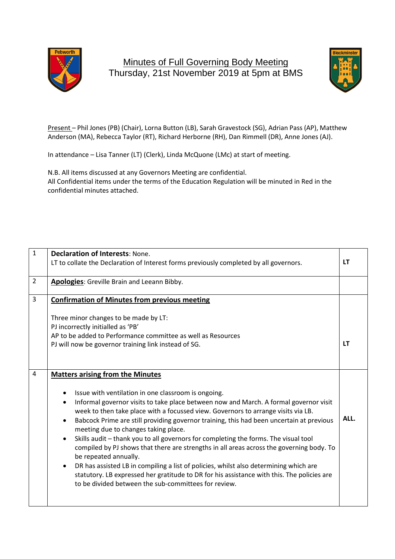

## Minutes of Full Governing Body Meeting Thursday, 21st November 2019 at 5pm at BMS



Present – Phil Jones (PB) (Chair), Lorna Button (LB), Sarah Gravestock (SG), Adrian Pass (AP), Matthew Anderson (MA), Rebecca Taylor (RT), Richard Herborne (RH), Dan Rimmell (DR), Anne Jones (AJ).

In attendance – Lisa Tanner (LT) (Clerk), Linda McQuone (LMc) at start of meeting.

N.B. All items discussed at any Governors Meeting are confidential. All Confidential items under the terms of the Education Regulation will be minuted in Red in the confidential minutes attached.

| <b>Declaration of Interests: None.</b>                                                                                                                                                                                                                                                                                                                                                                                                                                                                                                                                                                                                                                                                                                                                                                                                                                                   |                                                                                        |
|------------------------------------------------------------------------------------------------------------------------------------------------------------------------------------------------------------------------------------------------------------------------------------------------------------------------------------------------------------------------------------------------------------------------------------------------------------------------------------------------------------------------------------------------------------------------------------------------------------------------------------------------------------------------------------------------------------------------------------------------------------------------------------------------------------------------------------------------------------------------------------------|----------------------------------------------------------------------------------------|
|                                                                                                                                                                                                                                                                                                                                                                                                                                                                                                                                                                                                                                                                                                                                                                                                                                                                                          | <b>LT</b>                                                                              |
| Apologies: Greville Brain and Leeann Bibby.                                                                                                                                                                                                                                                                                                                                                                                                                                                                                                                                                                                                                                                                                                                                                                                                                                              |                                                                                        |
| <b>Confirmation of Minutes from previous meeting</b>                                                                                                                                                                                                                                                                                                                                                                                                                                                                                                                                                                                                                                                                                                                                                                                                                                     |                                                                                        |
| Three minor changes to be made by LT:<br>PJ incorrectly initialled as 'PB'<br>AP to be added to Performance committee as well as Resources<br>PJ will now be governor training link instead of SG.                                                                                                                                                                                                                                                                                                                                                                                                                                                                                                                                                                                                                                                                                       | <b>LT</b>                                                                              |
| <b>Matters arising from the Minutes</b><br>Issue with ventilation in one classroom is ongoing.<br>Informal governor visits to take place between now and March. A formal governor visit<br>week to then take place with a focussed view. Governors to arrange visits via LB.<br>Babcock Prime are still providing governor training, this had been uncertain at previous<br>meeting due to changes taking place.<br>Skills audit - thank you to all governors for completing the forms. The visual tool<br>$\bullet$<br>compiled by PJ shows that there are strengths in all areas across the governing body. To<br>be repeated annually.<br>DR has assisted LB in compiling a list of policies, whilst also determining which are<br>statutory. LB expressed her gratitude to DR for his assistance with this. The policies are<br>to be divided between the sub-committees for review. | ALL.                                                                                   |
|                                                                                                                                                                                                                                                                                                                                                                                                                                                                                                                                                                                                                                                                                                                                                                                                                                                                                          | LT to collate the Declaration of Interest forms previously completed by all governors. |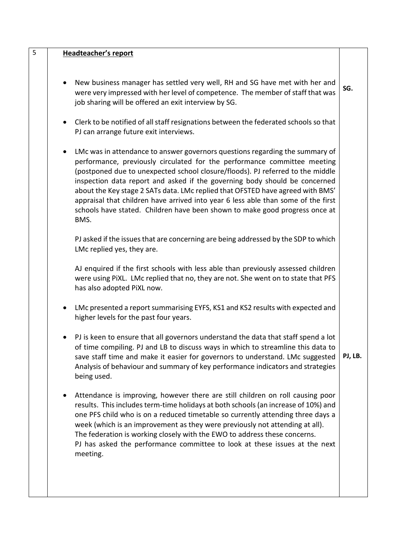| 5 | <b>Headteacher's report</b>                                                                                                                                                                                                                                                                                                                                                                                                                                                                                                                                                                         |         |
|---|-----------------------------------------------------------------------------------------------------------------------------------------------------------------------------------------------------------------------------------------------------------------------------------------------------------------------------------------------------------------------------------------------------------------------------------------------------------------------------------------------------------------------------------------------------------------------------------------------------|---------|
|   | New business manager has settled very well, RH and SG have met with her and<br>were very impressed with her level of competence. The member of staff that was<br>job sharing will be offered an exit interview by SG.                                                                                                                                                                                                                                                                                                                                                                               | SG.     |
|   | Clerk to be notified of all staff resignations between the federated schools so that<br>PJ can arrange future exit interviews.                                                                                                                                                                                                                                                                                                                                                                                                                                                                      |         |
|   | LMc was in attendance to answer governors questions regarding the summary of<br>$\bullet$<br>performance, previously circulated for the performance committee meeting<br>(postponed due to unexpected school closure/floods). PJ referred to the middle<br>inspection data report and asked if the governing body should be concerned<br>about the Key stage 2 SATs data. LMc replied that OFSTED have agreed with BMS'<br>appraisal that children have arrived into year 6 less able than some of the first<br>schools have stated. Children have been shown to make good progress once at<br>BMS. |         |
|   | PJ asked if the issues that are concerning are being addressed by the SDP to which<br>LMc replied yes, they are.                                                                                                                                                                                                                                                                                                                                                                                                                                                                                    |         |
|   | AJ enquired if the first schools with less able than previously assessed children<br>were using PiXL. LMc replied that no, they are not. She went on to state that PFS<br>has also adopted PiXL now.                                                                                                                                                                                                                                                                                                                                                                                                |         |
|   | LMc presented a report summarising EYFS, KS1 and KS2 results with expected and<br>higher levels for the past four years.                                                                                                                                                                                                                                                                                                                                                                                                                                                                            |         |
|   | PJ is keen to ensure that all governors understand the data that staff spend a lot<br>of time compiling. PJ and LB to discuss ways in which to streamline this data to<br>save staff time and make it easier for governors to understand. LMc suggested<br>Analysis of behaviour and summary of key performance indicators and strategies<br>being used.                                                                                                                                                                                                                                            | PJ, LB. |
|   | Attendance is improving, however there are still children on roll causing poor<br>results. This includes term-time holidays at both schools (an increase of 10%) and<br>one PFS child who is on a reduced timetable so currently attending three days a<br>week (which is an improvement as they were previously not attending at all).<br>The federation is working closely with the EWO to address these concerns.<br>PJ has asked the performance committee to look at these issues at the next<br>meeting.                                                                                      |         |
|   |                                                                                                                                                                                                                                                                                                                                                                                                                                                                                                                                                                                                     |         |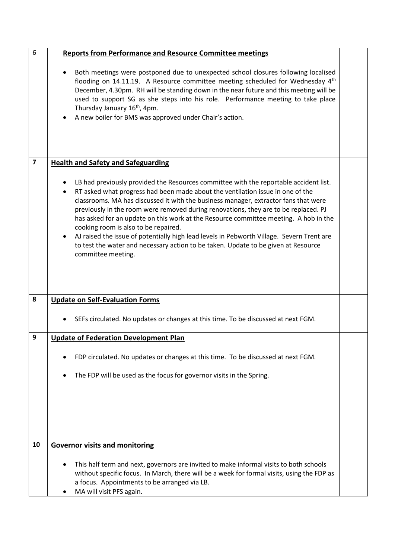| 6                       | <b>Reports from Performance and Resource Committee meetings</b>                                                                                                                                                                                                                                                                                                                                                                                                                                                                                                                                                                                                                                             |  |
|-------------------------|-------------------------------------------------------------------------------------------------------------------------------------------------------------------------------------------------------------------------------------------------------------------------------------------------------------------------------------------------------------------------------------------------------------------------------------------------------------------------------------------------------------------------------------------------------------------------------------------------------------------------------------------------------------------------------------------------------------|--|
|                         | Both meetings were postponed due to unexpected school closures following localised<br>flooding on 14.11.19. A Resource committee meeting scheduled for Wednesday $4th$<br>December, 4.30pm. RH will be standing down in the near future and this meeting will be<br>used to support SG as she steps into his role. Performance meeting to take place<br>Thursday January 16 <sup>th</sup> , 4pm.<br>A new boiler for BMS was approved under Chair's action.                                                                                                                                                                                                                                                 |  |
| $\overline{\mathbf{z}}$ | <b>Health and Safety and Safeguarding</b>                                                                                                                                                                                                                                                                                                                                                                                                                                                                                                                                                                                                                                                                   |  |
|                         | LB had previously provided the Resources committee with the reportable accident list.<br>RT asked what progress had been made about the ventilation issue in one of the<br>$\bullet$<br>classrooms. MA has discussed it with the business manager, extractor fans that were<br>previously in the room were removed during renovations, they are to be replaced. PJ<br>has asked for an update on this work at the Resource committee meeting. A hob in the<br>cooking room is also to be repaired.<br>AJ raised the issue of potentially high lead levels in Pebworth Village. Severn Trent are<br>to test the water and necessary action to be taken. Update to be given at Resource<br>committee meeting. |  |
| 8                       | <b>Update on Self-Evaluation Forms</b>                                                                                                                                                                                                                                                                                                                                                                                                                                                                                                                                                                                                                                                                      |  |
|                         | SEFs circulated. No updates or changes at this time. To be discussed at next FGM.                                                                                                                                                                                                                                                                                                                                                                                                                                                                                                                                                                                                                           |  |
| 9                       | <b>Update of Federation Development Plan</b>                                                                                                                                                                                                                                                                                                                                                                                                                                                                                                                                                                                                                                                                |  |
|                         | FDP circulated. No updates or changes at this time. To be discussed at next FGM.                                                                                                                                                                                                                                                                                                                                                                                                                                                                                                                                                                                                                            |  |
|                         | The FDP will be used as the focus for governor visits in the Spring.                                                                                                                                                                                                                                                                                                                                                                                                                                                                                                                                                                                                                                        |  |
|                         |                                                                                                                                                                                                                                                                                                                                                                                                                                                                                                                                                                                                                                                                                                             |  |
| 10                      | <b>Governor visits and monitoring</b>                                                                                                                                                                                                                                                                                                                                                                                                                                                                                                                                                                                                                                                                       |  |
|                         | This half term and next, governors are invited to make informal visits to both schools<br>without specific focus. In March, there will be a week for formal visits, using the FDP as<br>a focus. Appointments to be arranged via LB.<br>MA will visit PFS again.                                                                                                                                                                                                                                                                                                                                                                                                                                            |  |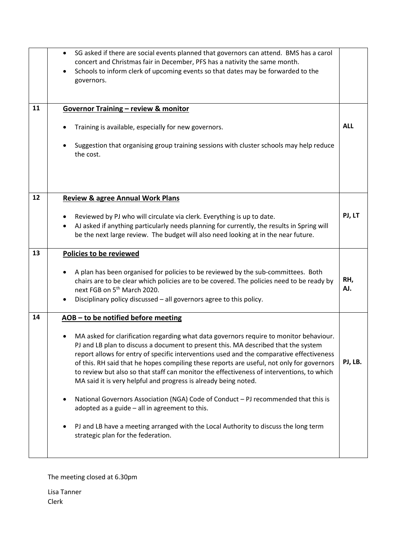|    | SG asked if there are social events planned that governors can attend. BMS has a carol<br>concert and Christmas fair in December, PFS has a nativity the same month.<br>Schools to inform clerk of upcoming events so that dates may be forwarded to the<br>governors.                                                                                                                                                                                                                                                                                                                                                                                                                                                                                                                                                                            |            |
|----|---------------------------------------------------------------------------------------------------------------------------------------------------------------------------------------------------------------------------------------------------------------------------------------------------------------------------------------------------------------------------------------------------------------------------------------------------------------------------------------------------------------------------------------------------------------------------------------------------------------------------------------------------------------------------------------------------------------------------------------------------------------------------------------------------------------------------------------------------|------------|
| 11 | Governor Training - review & monitor<br>Training is available, especially for new governors.<br>Suggestion that organising group training sessions with cluster schools may help reduce<br>the cost.                                                                                                                                                                                                                                                                                                                                                                                                                                                                                                                                                                                                                                              | <b>ALL</b> |
| 12 | <b>Review &amp; agree Annual Work Plans</b><br>Reviewed by PJ who will circulate via clerk. Everything is up to date.<br>$\bullet$<br>AJ asked if anything particularly needs planning for currently, the results in Spring will<br>be the next large review. The budget will also need looking at in the near future.                                                                                                                                                                                                                                                                                                                                                                                                                                                                                                                            | PJ, LT     |
| 13 | Policies to be reviewed<br>A plan has been organised for policies to be reviewed by the sub-committees. Both<br>chairs are to be clear which policies are to be covered. The policies need to be ready by<br>next FGB on 5 <sup>th</sup> March 2020.<br>Disciplinary policy discussed - all governors agree to this policy.                                                                                                                                                                                                                                                                                                                                                                                                                                                                                                                       | RH,<br>AJ. |
| 14 | AOB - to be notified before meeting<br>MA asked for clarification regarding what data governors require to monitor behaviour.<br>PJ and LB plan to discuss a document to present this. MA described that the system<br>report allows for entry of specific interventions used and the comparative effectiveness<br>of this. RH said that he hopes compiling these reports are useful, not only for governors<br>to review but also so that staff can monitor the effectiveness of interventions, to which<br>MA said it is very helpful and progress is already being noted.<br>National Governors Association (NGA) Code of Conduct - PJ recommended that this is<br>adopted as a guide - all in agreement to this.<br>PJ and LB have a meeting arranged with the Local Authority to discuss the long term<br>strategic plan for the federation. | PJ, LB.    |

The meeting closed at 6.30pm

Lisa Tanner Clerk